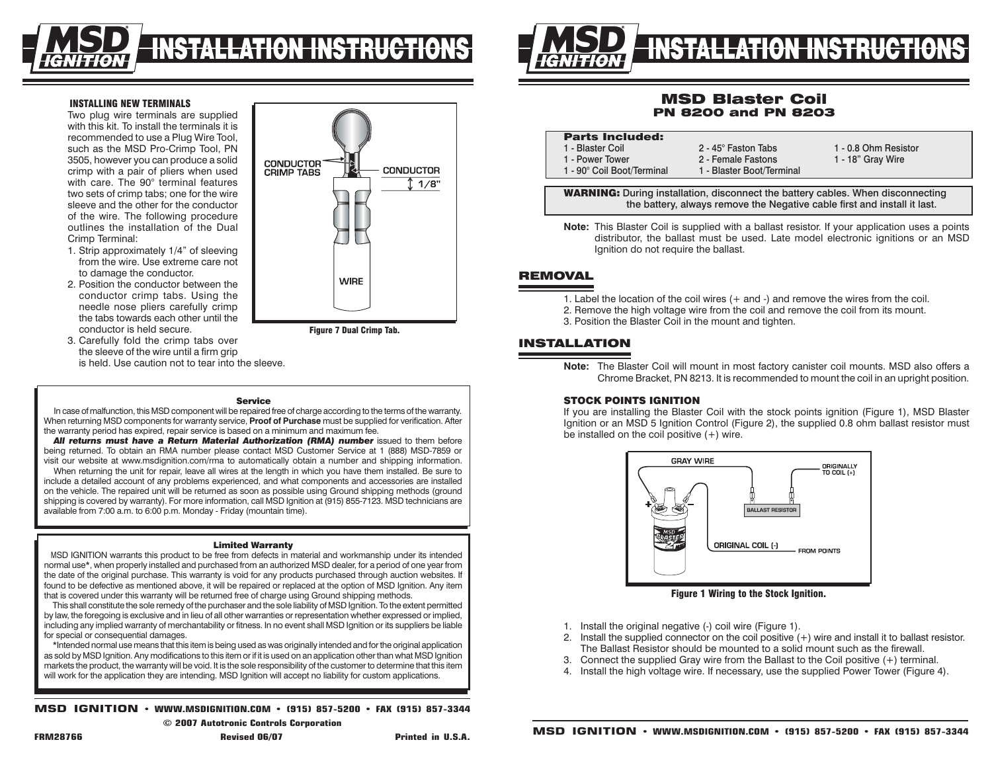

**CONDUCTOR** 

**CRIMP TABS** 

### INSTALLING NEW TERMINALS

Two plug wire terminals are supplied with this kit. To install the terminals it is recommended to use a Plug Wire Tool, such as the MSD Pro-Crimp Tool, PN 3505, however you can produce a solid crimp with a pair of pliers when used with care. The 90° terminal features two sets of crimp tabs; one for the wire sleeve and the other for the conductor of the wire. The following procedure outlines the installation of the Dual Crimp Terminal:

- 1. Strip approximately 1/4" of sleeving from the wire. Use extreme care not to damage the conductor.
- 2. Position the conductor between the conductor crimp tabs. Using the needle nose pliers carefully crimp the tabs towards each other until the conductor is held secure.
- 3. Carefully fold the crimp tabs over the sleeve of the wire until a firm grip is held. Use caution not to tear into the sleeve.

### Service

Figure 7 Dual Crimp Tab.

**WIRE** 

**CONDUCTOR** 

 $1/8"$ 

In case of malfunction, this MSD component will be repaired free of charge according to the terms of the warranty. When returning MSD components for warranty service, **Proof of Purchase** must be supplied for verification. After the warranty period has expired, repair service is based on a minimum and maximum fee.

*All returns must have a Return Material Authorization (RMA) number* issued to them before being returned. To obtain an RMA number please contact MSD Customer Service at 1 (888) MSD-7859 or visit our website at www.msdignition.com/rma to automatically obtain a number and shipping information.

When returning the unit for repair, leave all wires at the length in which you have them installed. Be sure to include a detailed account of any problems experienced, and what components and accessories are installed on the vehicle. The repaired unit will be returned as soon as possible using Ground shipping methods (ground shipping is covered by warranty). For more information, call MSD Ignition at (915) 855-7123. MSD technicians are available from 7:00 a.m. to 6:00 p.m. Monday - Friday (mountain time).

#### Limited Warranty

MSD IGNITION warrants this product to be free from defects in material and workmanship under its intended normal use\*, when properly installed and purchased from an authorized MSD dealer, for a period of one year from the date of the original purchase. This warranty is void for any products purchased through auction websites. If found to be defective as mentioned above, it will be repaired or replaced at the option of MSD Ignition. Any item that is covered under this warranty will be returned free of charge using Ground shipping methods.

This shall constitute the sole remedy of the purchaser and the sole liability of MSD Ignition. To the extent permitted by law, the foregoing is exclusive and in lieu of all other warranties or representation whether expressed or implied, including any implied warranty of merchantability or fitness. In no event shall MSD Ignition or its suppliers be liable for special or consequential damages.

\*Intended normal use means that this item is being used as was originally intended and for the original application as sold by MSD Ignition. Any modifications to this item or if it is used on an application other than what MSD Ignition markets the product, the warranty will be void. It is the sole responsibility of the customer to determine that this item will work for the application they are intending. MSD Ignition will accept no liability for custom applications.

**MSD IGNITION • www.msdignition.com • (915) 857-5200 • FAX (915) 857-3344**

**© 2007 Autotronic Controls Corporation**



# MSD Blaster Coil PN 8200 and PN 8203

| <b>Parts Included:</b>                                                                                         |                           |                      |
|----------------------------------------------------------------------------------------------------------------|---------------------------|----------------------|
| 1 - Blaster Coil                                                                                               | 2 - 45° Faston Tabs       | 1 - 0.8 Ohm Resistor |
| 1 - Power Tower                                                                                                | 2 - Female Fastons        | 1 - 18" Gray Wire    |
| 1 - 90° Coil Boot/Terminal                                                                                     | 1 - Blaster Boot/Terminal |                      |
|                                                                                                                |                           |                      |
| <b>187A PARTINIA - P</b> rovince in La Hattan - discussors at the Hattan consistence AMI, and discussed attack |                           |                      |

WARNING: During installation, disconnect the battery cables. When disconnecting the battery, always remove the Negative cable first and install it last.

**Note:** This Blaster Coil is supplied with a ballast resistor. If your application uses a points distributor, the ballast must be used. Late model electronic ignitions or an MSD Ignition do not require the ballast.

## **REMOVAL**

- 1. Label the location of the coil wires (+ and -) and remove the wires from the coil.
- 2. Remove the high voltage wire from the coil and remove the coil from its mount.
- 3. Position the Blaster Coil in the mount and tighten.

# Installation

**Note:** The Blaster Coil will mount in most factory canister coil mounts. MSD also offers a Chrome Bracket, PN 8213. It is recommended to mount the coil in an upright position.

## **STOCK POINTS IGNITION**

If you are installing the Blaster Coil with the stock points ignition (Figure 1), MSD Blaster Ignition or an MSD 5 Ignition Control (Figure 2), the supplied 0.8 ohm ballast resistor must be installed on the coil positive (+) wire.



Figure 1 Wiring to the Stock Ignition.

- 1. Install the original negative (-) coil wire (Figure 1).
- 2. Install the supplied connector on the coil positive (+) wire and install it to ballast resistor. The Ballast Resistor should be mounted to a solid mount such as the firewall.
- 3. Connect the supplied Gray wire from the Ballast to the Coil positive (+) terminal.
- 4. Install the high voltage wire. If necessary, use the supplied Power Tower (Figure 4).

**FRM28766 Revised 06/07 Printed in U.S.A.**